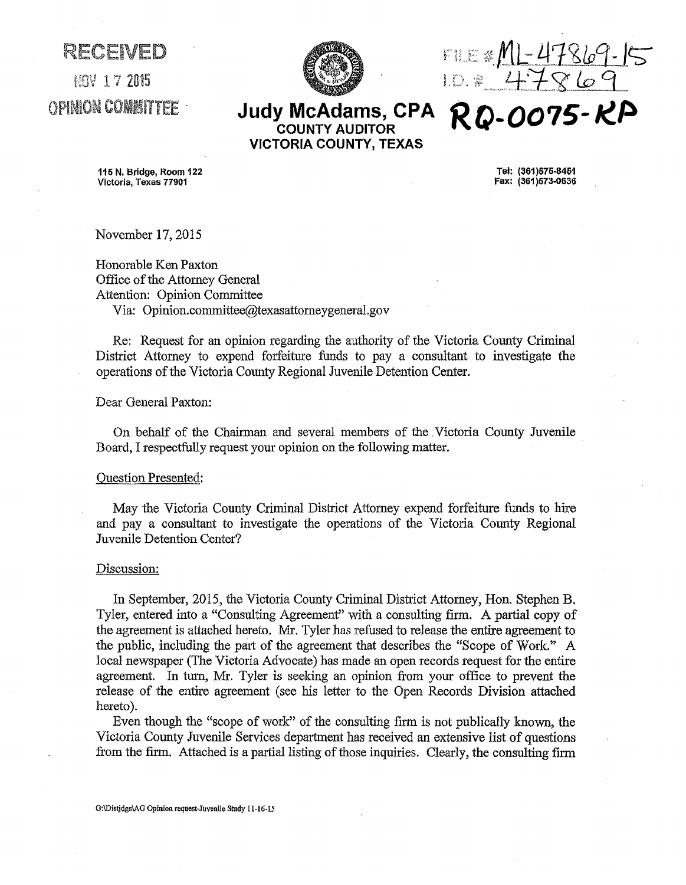$17.2015$ **OPINION COMMITTEE** 

RECEIVED



M1-47869-15 47869 **RQ-0015-KP** 

## **Judy McAdams, CPA COUNTY AUDITOR VICTORIA COUNTY, TEXAS**

115 N. Bridge, Room 122 Victoria, Texas 77901

Tel: (361)575-8461 Fax: (361 )573·0636

November 17, 2015

Honorable Ken Paxton Office of the Attorney General Attention: Opinion Committee Via: Opinion.committee@texasattorneygeneral.gov

Re: Request for an opinion regarding the authority of the Victoria County Criminal District Attorney to expend forfeiture funds to pay a consultant to investigate the operations of the Victoria County Regional Juvenile Detention Center.

Dear General Paxton:

On behalf of the Chairman and several members of the Victoria County Juvenile Board, I respectfully request your opinion on the following matter.

## Question Presented:

May the Victoria County Criminal District Attorney expend forfeiture funds to hire and pay a consultant to investigate the operations of the Victoria County Regional Juvenile Detention Center?

## Discussion:

In September, 2015, the Victoria County Criminal District Attorney, Hon. Stephen B. Tyler, entered into a "Consulting Agreement" with a consulting firm. A partial copy of the agreement is attached hereto. Mr. Tyler has refused to release the entire agreement to the public, including the part of the agreement that describes the "Scope of Work." A local newspaper (The Victoria Advocate) has made an open records request for the entire agreement. In tum, Mr. Tyler is seeking an opinion from your office to prevent the release of the entire agreement (see his letter to the Open Records Division attached hereto).

Even though the "scope of work" of the consulting firm is not publically known, the Victoria County Juvenile Services department has received an extensive list of questions from the firm. Attached is a partial listing of those inquiries. Clearly, the consulting firm